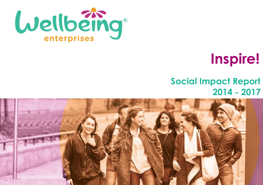

# **Inspire!**

# **Social Impact Report 2014 - 2017**

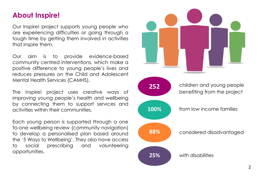# **About Inspire!**

Our Inspire! project supports young people who are experiencing difficulties or going through a tough time by getting them involved in activities that inspire them.

Our aim is to provide evidence-based community centred interventions, which make a positive difference to young people's lives and reduces pressures on the Child and Adolescent Mental Health Services (CAMHS).

The Inspire! project uses creative ways of improving young people's health and wellbeing by connecting them to support services and activities within their communities.

Each young person is supported through a one to-one wellbeing review (community navigation) to develop a personalised plan based around the '5 Ways to Wellbeing'. They also have access to social prescribing and volunteering opportunities.

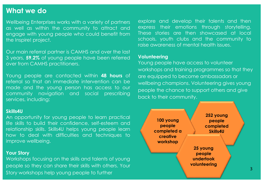#### **What we do**

Wellbeing Enterprises works with a variety of partners as well as within the community to attract and engage with young people who could benefit from the Inspire! project.

Our main referral partner is CAMHS and over the last 3 years, **59.2%** of young people have been referred over from CAMHS practitioners.

Young people are contacted within **48 hours** of referral so that an immediate intervention can be made and the young person has access to our community navigation and social prescribing services, including:

#### **Skills4U**

An opportunity for young people to learn practical life skills to build their confidence, self-esteem and relationship skills. Skills4U helps young people learn how to deal with difficulties and techniques to improve wellbeing.

#### **Your Story**

Workshops focusing on the skills and talents of young people so they can share their skills with others. Your Story workshops help young people to further

explore and develop their talents and then express their emotions through storytelling. These stories are then showcased at local schools, youth clubs and the community to raise awareness of mental health issues.

#### **Volunteering**

Young people have access to volunteer workshops and training programmes so that they are equipped to become ambassadors or wellbeing champions. Volunteering gives young people the chance to support others and give back to their community.

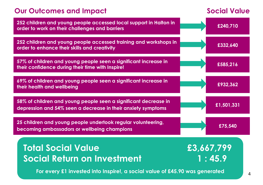# **Our Outcomes and Impact Social Value**

| 252 children and young people accessed local support in Halton in<br>order to work on their challenges and barriers             | £240,710   |
|---------------------------------------------------------------------------------------------------------------------------------|------------|
| 252 children and young people accessed training and workshops in<br>order to enhance their skills and creativity                | £332,640   |
| 57% of children and young people seen a significant increase in<br>their confidence during their time with Inspire!             | £585,216   |
| 69% of children and young people seen a significant increase in<br>their health and wellbeing                                   | £932,362   |
| 58% of children and young people seen a significant decrease in<br>depression and 54% seen a decrease in their anxiety symptoms | £1,501,331 |
| 25 children and young people undertook regular volunteering,<br>becoming ambassadors or wellbeing champions                     | £75,540    |
| <b>Total Social Value</b>                                                                                                       | £3,667,799 |
| <b>Social Return on Investment</b>                                                                                              | 1:45.9     |
| For every £1 invested into Inspire!, a social value of £45.90 was generated<br>4                                                |            |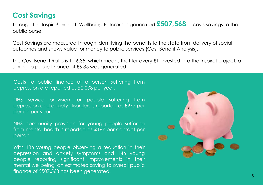### **Cost Savings**

Through the Inspire! project, Wellbeing Enterprises generated **£507,568** in costs savings to the public purse.

Cost Savings are measured through identifying the benefits to the state from delivery of social outcomes and shows value for money to public services (Cost Benefit Analysis).

The Cost Benefit Ratio is 1 : 6.35, which means that for every £1 invested into the Inspire! project, a saving to public finance of £6.35 was generated.

Costs to public finance of a person suffering from depression are reported as £2,038 per year.

NHS service provision for people suffering from depression and anxiety disorders is reported as £977 per person per year.

NHS community provision for young people suffering from mental health is reported as £167 per contact per person.

With 136 young people observing a reduction in their depression and anxiety symptoms and 146 young people reporting significant improvements in their mental wellbeing, an estimated saving to overall public finance of £507,568 has been generated.

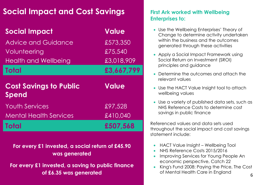# **Social Impact and Cost Savings**

| <b>Social Impact</b>                          | <b>Value</b> |
|-----------------------------------------------|--------------|
| <b>Advice and Guidance</b>                    | £573,350     |
| Volunteering                                  | £75,540      |
| <b>Health and Wellbeing</b>                   | £3,018,909   |
| <b>Total</b>                                  | £3,667,799   |
|                                               |              |
| <b>Cost Savings to Public</b><br><b>Spend</b> | <b>Value</b> |
| <b>Youth Services</b>                         | £97,528      |
| <b>Mental Health Services</b>                 | £410,040     |

**For every £1 invested, a social return of £45.90 was generated**

**For every £1 invested, a saving to public finance of £6.35 was generated** 6 and 6 and 6 and 6 and 6 and 6 and 6 and 6 and 6 and 6 and 6 and 6 and 6 and 6 and 6 and 6 and 6 and 6 and 6 and 6 and 6 and 6 and 6 and 6 and 6 and 6 and 6 and 6 and 6 and 6 and 6 and 6 and 6 and

#### **First Ark worked with Wellbeing Enterprises to:**

- Use the Wellbeing Enterprises' Theory of Change to determine activity undertaken within the business and the outcomes generated through these activities
- Apply a Social Impact Framework using Social Return on Investment (SROI) principles and guidance
- Determine the outcomes and attach the relevant values
- Use the HACT Value Insight tool to attach wellbeing values
- Use a variety of published data sets, such as NHS Reference Costs to determine cost savings in public finance

Referenced values and data sets used throughout the social impact and cost savings statement include:

- HACT Value Insight Wellbeing Tool
- NHS Reference Costs 2015/2016
- Improving Services for Young People An economic perspective, Catch 22
- King's Fund 2008: Paying the Price, The Cost of Mental Health Care in England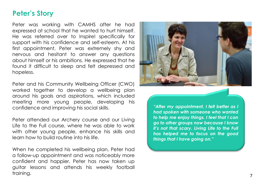#### **Peter's Story**

Peter was working with CAMHS after he had expressed at school that he wanted to hurt himself. He was referred over to Inspire! specifically for support with his confidence and self-esteem. At his first appointment, Peter was extremely shy and nervous and hesitant to answer any questions about himself or his ambitions. He expressed that he found it difficult to sleep and felt depressed and hopeless.

Peter and his Community Wellbeing Officer (CWO) worked together to develop a wellbeing plan around his goals and aspirations, which included meeting more young people, developing his confidence and improving his social skills.

Peter attended our Archery course and our Living Life to the Full course, where he was able to work with other young people, enhance his skills and learn how to build routine into his life.

When he completed his wellbeing plan, Peter had a follow-up appointment and was noticeably more confident and happier. Peter has now taken up guitar lessons and attends his weekly football training.



*"After my appointment, I felt better as I had spoken with someone who wanted to help me enjoy things. I feel that I can go to other groups now because I know it's not that scary. Living Life to the Full has helped me to focus on the good things that I have going on."*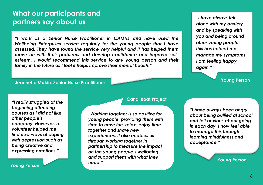#### **What our participants and partners say about us**

*"I work as a Senior Nurse Practitioner in CAMHS and have used the Wellbeing Enterprises service regularly for the young people that I have assessed. They have found the service very helpful and it has helped them move on with their problems and develop confidence and improve selfesteem. I would recommend this service to any young person and their family in the future as I feel it helps improve their mental health."*

#### **Jeannette Makin, Senior Nurse Practitioner Young Person**

*"I have always felt alone with my anxiety and by speaking with you and being around other young people; this has helped me manage my symptoms. I am feeling happy again."*

*"I really struggled at the beginning attending courses as I did not like other people's company. However, a volunteer helped me find new ways of coping with depression such as being creative and expressing emotions."* **Young Person**

**Young Person**

#### **Canal Boat Project**

*"Working together is so positive for young people, providing them with time to have fun, relax, enjoy time together and share new experiences. It also enables us through working together in partnership to measure the impact on the young people's wellbeing and support them with what they need."*

L

*"I have always been angry about being bullied at school and felt anxious about going in each day. I now feel able to manage this through learning mindfulness and acceptance."*

**Young Person**